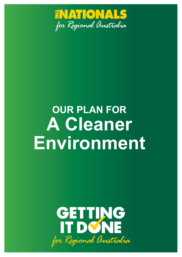

# **OUR PLAN FOR A Cleaner Environment**

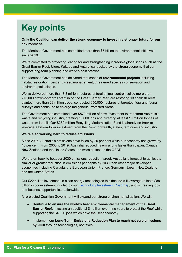# **Key points**

**Only the Coalition can deliver the strong economy to invest in a stronger future for our environment.**

The Morrison Government has committed more than \$6 billion to environmental initiatives since 2019.

We're committed to protecting, caring for and strengthening incredible global icons such as the Great Barrier Reef, Uluru, Kakadu and Antarctica, backed by the strong economy that can support long-term planning and world's best practice.

The Morrison Government has delivered thousands of **environmental projects** including habitat restoration, pest and weed management, threatened species conservation and environmental science.

We've delivered more than 3.8 million hectares of feral animal control, culled more than 275,000 crown-of-thorns starfish on the Great Barrier Reef, are restoring 13 shellfish reefs, planted more than 29 million trees, conducted 650,000 hectares of targeted flora and fauna surveys and continued to enlarge Indigenous Protected Areas.

The Government has committed over \$870 million of new investment to transform Australia's waste and recycling industry, creating 10,000 jobs and diverting at least 10 million tonnes of waste from landfill. Our \$280 million Recycling Modernisation Fund is already on track to leverage a billion-dollar investment from the Commonwealth, states, territories and industry.

#### **We're also working hard to reduce emissions.**

Since 2005, Australia's emissions have fallen by 20 per cent while our economy has grown by 45 per cent. From 2005 to 2019, Australia reduced its emissions faster than Japan, Canada, New Zealand and the United States and twice as fast as the OECD.

We are on track to beat our 2030 emissions reduction target. Australia is forecast to achieve a similar or greater reduction in emissions per capita by 2030 than other major developed economies including Canada, the European Union, France, Germany, Japan, New Zealand and the United States.

Our \$22 billion investment in clean energy technologies this decade will leverage at least \$88 billion in co-investment, guided by our [Technology Investment Roadmap,](https://www.industry.gov.au/data-and-publications/technology-investment-roadmap-first-low-emissions-technology-statement-2020) and is creating jobs and business opportunities nationwide.

A re-elected Coalition Government will expand our strong environmental action. We will:

- **Continue to ensure the world's best environmental management of the Great Barrier Reef,** investing an additional \$1 billion over nine years to protect the Reef while supporting the 64,000 jobs which drive the Reef economy.
- Implement our **[Long-Term Emissions Reduction Plan](https://www.industry.gov.au/data-and-publications/australias-long-term-emissions-reduction-plan) to reach net zero emissions by 2050** through technologies, not taxes.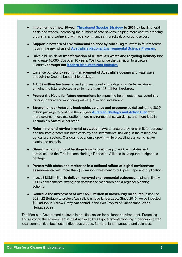- **Implement our new 10-year [Threatened Species Strategy](https://www.awe.gov.au/environment/biodiversity/threatened/publications/threatened-species-strategy-2021-2031) to 2031** by tackling feral pests and weeds, increasing the number of safe havens, helping more captive breeding programs and partnering with local communities in practical, on-ground action.
- **Support a new era of environmental science** by continuing to invest in four research hubs in the next phase of **[Australia's National Environmental Science Program.](https://www.awe.gov.au/science-research/nesp)**
- Drive a billion-dollar **transformation of Australia's waste and recycling industry** that will create 10,000 jobs over 10 years. We'll continue the transition to a circular economy **through the [Modern Manufacturing Initiative.](https://www.industry.gov.au/news/modern-manufacturing-initiative-and-national-manufacturing-priorities-announced)**
- Enhance our **world-leading management of Australia's oceans** and waterways through the Oceans Leadership package.
- Add **39 million hectares** of land and sea country to Indigenous Protected Areas, bringing the total protected area to more than **117 million hectares.**
- **Protect the Koala for future generations** by improving health outcomes, veterinary training, habitat and monitoring with a \$53 million investment.
- **Strengthen our Antarctic leadership, science and presence** by delivering the \$839 million package to continue the 20-year **[Antarctic Strategy and Action Plan](https://www.antarctica.gov.au/site/assets/files/53156/2022_update_20yearstrategy.pdf)** with more science, more exploration, more environmental stewardship, and more jobs in Tasmania's Antarctic industries.
- **Reform national environmental protection laws** to ensure they remain fit for purpose and facilitate greater business certainty and investments including in the mining and agricultural sectors. Our goal is economic growth while protecting our iconic native plants and animals.
- **Strengthen our cultural heritage laws** by continuing to work with states and territories and the First Nations Heritage Protection Alliance to safeguard Indigenous heritage.
- **Partner with states and territories in a national rollout of digital environment assessments,** with more than \$52 million investment to cut green tape and duplication.
- Invest \$128.6 million to **deliver improved environmental outcomes**, maintain timely EPBC assessments, strengthen compliance measures and a regional planning scheme.
- **Continue the investment of over \$590 million in biosecurity measures** (since the 2021-22 Budget) to protect Australia's unique landscapes. Since 2013, we've invested \$20 million in Yellow Crazy Ant control in the Wet Tropics of Queensland World Heritage Area.

The Morrison Government believes in practical action for a cleaner environment. Protecting and restoring the environment is best achieved by all governments working in partnership with local communities, business, Indigenous groups, farmers, land managers and scientists.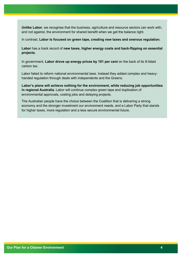**Unlike Labor**, we recognise that the business, agriculture and resource sectors can work with, and not against, the environment for shared benefit when we get the balance right.

In contrast, **Labor is focused on green tape, creating new taxes and onerous regulation.**

**Labor** has a track record of **new taxes, higher energy costs and back-flipping on essential projects.**

In government, **Labor drove up energy prices by 101 per cent** on the back of its ill-fated carbon tax.

Labor failed to reform national environmental laws. Instead they added complex and heavyhanded regulation through deals with independents and the Greens.

**Labor's plans will achieve nothing for the environment, while reducing job opportunities in regional Australia.** Labor will continue complex green tape and duplication of environmental approvals, costing jobs and delaying projects.

The Australian people have the choice between the Coalition that is delivering a strong economy and the stronger investment our environment needs, and a Labor Party that stands for higher taxes, more regulation and a less secure environmental future.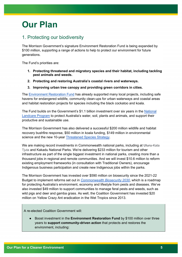# **Our Plan**

#### 1. Protecting our biodiversity

The Morrison Government's signature Environment Restoration Fund is being expanded by \$100 million, supporting a range of actions to help to protect our environment for future generations.

The Fund's priorities are:

- **1. Protecting threatened and migratory species and their habitat, including tackling pest animals and weeds.**
- **2. Protecting and restoring Australia's coastal rivers and waterways.**
- **3. Improving urban tree canopy and providing green corridors in cities.**

The [Environment Restoration Fund](https://www.awe.gov.au/environment/biodiversity/conservation/environment-restoration-fund) has already supported many local projects, including safe havens for endangered wildlife, community clean-ups for urban waterways and coastal areas and habitat restoration projects for species including the black cockatoo and koala.

The Fund builds on the Government's \$1.1 billion investment over six years in the [National](http://www.nrm.gov.au/national-landcare-program)  [Landcare Program](http://www.nrm.gov.au/national-landcare-program) to protect Australia's water, soil, plants and animals, and support their productive and sustainable use.

The Morrison Government has also delivered a successful \$200 million wildlife and habitat recovery bushfire response, \$50 million in koala funding, \$149 million in environmental science and the new 10-year [Threatened Species Strategy.](https://www.awe.gov.au/environment/biodiversity/threatened/publications/threatened-species-strategy-2021-2031#:%7E:text=About%20the%20Strategy&text=a%2010%20year%20vision%3A%20)

We are making record investments in Commonwealth national parks, including at **Uluru**-Kata Tjuta and Kakadu National Parks. We're delivering \$233 million for tourism and other infrastructure as part of the single biggest investment in national parks, creating more than a thousand jobs in regional and remote communities. And we will invest \$10.6 million to reform existing employment frameworks (in consultation with Traditional Owners), encourage Indigenous business participation and create new Indigenous jobs within the parks.

The Morrison Government has invested over \$590 million on biosecurity since the 2021-22 Budget to implement reforms set out in *[Commonwealth Biosecurity 2030](https://www.awe.gov.au/biosecurity-trade/policy/commonwealth-biosecurity-2030)*, which is a roadmap for protecting Australia's environment, economy and lifestyle from pests and diseases. We've also invested \$49 million to support communities to manage feral pests and weeds, such as wild pigs and deer and gamba grass. As well, the Coalition Government has invested \$20 million on Yellow Crazy Ant eradication in the Wet Tropics since 2013.

A re-elected Coalition Government will:

Boost investment in the **Environment Restoration Fund** by \$100 million over three years to **support community-driven action** that protects and restores the environment, including: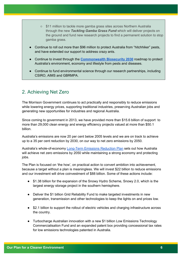- \$11 million to tackle more gamba grass sites across Northern Australia through the new *Tackling Gamba Grass Fund* which will deliver projects on the ground and fund new research projects to find a permanent solution to stop gamba grass.
- Continue to roll out more than \$96 million to protect Australia from "hitchhiker" pests, and have extended our support to address crazy ants.
- Continue to invest through the **[Commonwealth Biosecurity 2030](https://www.awe.gov.au/biosecurity-trade/policy/commonwealth-biosecurity-2030)** roadmap to protect Australia's environment, economy and lifestyle from pests and diseases.
- Continue to fund environmental science through our research partnerships, including CSIRO, AIMS and GBRMPA.

#### 2. Achieving Net Zero

The Morrison Government continues to act practically and responsibly to reduce emissions while lowering energy prices, supporting traditional industries, preserving Australian jobs and generating new opportunities for industries and regional Australia.

Since coming to government in 2013, we have provided more than \$15.6 billion of support to more than 29,000 clean energy and energy efficiency projects valued at more than \$50.1 billion.

Australia's emissions are now 20 per cent below 2005 levels and we are on track to achieve up to a 35 per cent reduction by 2030, on our way to net zero emissions by 2050.

Australia's whole-of-economy [Long-Term Emissions Reduction Plan](https://www.industry.gov.au/data-and-publications/australias-long-term-emissions-reduction-plan) sets out how Australia will achieve net zero emissions by 2050 while maintaining a strong economy and protecting jobs.

The Plan is focused on 'the how', on practical action to convert ambition into achievement, because a target without a plan is meaningless. We will invest \$22 billion to reduce emissions and our investment will drive coinvestment of \$88 billion. Some of these actions include:

- \$1.38 billion for the expansion of the Snowy Hydro Scheme, Snowy 2.0, which is the largest energy storage project in the southern hemisphere.
- Deliver the \$1 billion Grid Reliability Fund to make targeted investments in new generation, transmission and other technologies to keep the lights on and prices low.
- \$2.1 billion to support the rollout of electric vehicles and charging infrastructure across the country.
- Turbocharge Australian innovation with a new \$1 billion Low Emissions Technology Commercialisation Fund and an expanded patent box providing concessional tax rates for low emissions technologies patented in Australia.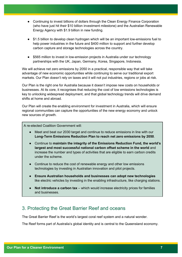- Continuing to invest billions of dollars through the Clean Energy Finance Corporation (who have just hit their \$10 billion investment milestone) and the Australian Renewable Energy Agency with \$1.9 billion in new funding.
- \$1.5 billion to develop clean hydrogen which will be an important low-emissions fuel to help power industries in the future and \$400 million to support and further develop carbon capture and storage technologies across the country.
- \$565 million to invest in low-emission projects in Australia under our technology partnerships with the UK, Japan, Germany, Korea, Singapore, Indonesia.

We will achieve net zero emissions by 2050 in a practical, responsible way that will take advantage of new economic opportunities while continuing to serve our traditional export markets. Our Plan doesn't rely on taxes and it will not put industries, regions or jobs at risk.

Our Plan is the right one for Australia because it doesn't impose new costs on households or businesses. At its core, it recognises that reducing the cost of low emissions technologies is key to unlocking widespread deployment, and that global technology trends will drive demand shifts at home and abroad.

Our Plan will create the enabling environment for investment in Australia, which will ensure regional communities can capture the opportunities of the new energy economy and unlock new sources of growth.

#### A re-elected Coalition Government will:

- Meet and beat our 2030 target and continue to reduce emissions in line with our **[Long-Term Emissions Reduction Plan](https://www.industry.gov.au/data-and-publications/australias-long-term-emissions-reduction-plan) to reach net zero emissions by 2050**.
- Continue to **maintain the integrity of the Emissions Reduction Fund, the world's largest and most successful national carbon offset scheme in the world** and increase the number and types of activities that are eligible to earn carbon credits under the scheme.
- Continue to reduce the cost of renewable energy and other low emissions technologies by investing in Australian innovation and pilot projects.
- **Ensure Australian households and businesses can adopt new technologies** like electric vehicles by investing in the enabling infrastructure, like charging stations.
- **Not introduce a carbon tax** which would increase electricity prices for families and businesses.

#### 3. Protecting the Great Barrier Reef and oceans

The Great Barrier Reef is the world's largest coral reef system and a natural wonder.

The Reef forms part of Australia's global identity and is central to the Queensland economy.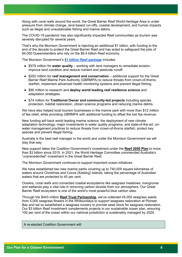Along with coral reefs around the world, the Great Barrier Reef World Heritage Area is under pressure from climate change, land-based run-offs, coastal development, and human impacts such as illegal and unsustainable fishing and marine debris.

The COVID-19 pandemic has also significantly impacted Reef communities as tourism was severely disrupted for several years.

That's why the Morrison Government is injecting an additional \$1 billion, with funding to the end of the decade to protect the Great Barrier Reef and has acted to safeguard the jobs of 64,000 Queenslanders who rely on the \$6.4 billion Reef economy.

The Morrison Government's **[\\$1 billion Reef package](https://www.awe.gov.au/parks-heritage/great-barrier-reef/billion-dollar-reef-protection-package)** includes:

- \$579 million for **water quality**  working with land managers to remediate erosion, improve land condition and reduce nutrient and pesticide runoff.
- \$252 million for **reef management and conservation**  additional support for the Great Barrier Reef Marine Park Authority (GBRMPA) to reduce threats from crown-of-thorns starfish, implement advanced health monitoring systems and prevent illegal fishing.
- \$95 million to research and **deploy world leading reef resilience science** and adaptation strategies.
- \$74 million for **Traditional Owner and community-led projects** including species protection, habitat restoration, citizen science programs and reducing marine debris.

We have also helped local tourism businesses in the marine park with more than \$12 million of fee relief, while providing GBRMPA with additional funding to offset the lost fee revenue.

New funding will back world leading marine science, the deployment of new climate adaptation technology, major investments in water quality programs, and state-of-the-art, onwater management practices to reduce threats from crown-of-thorns starfish, protect key species and prevent illegal fishing.

Australia is the best reef manager in the world and under the Morrison Government we will stay that way.

New support takes the Coalition Government's investment under the **[Reef 2050 Plan](https://www.awe.gov.au/parks-heritage/great-barrier-reef/long-term-sustainability-plan)** to more than \$3 billion since 2015. In 2021, the World Heritage Committee commended Australia's "unprecedented" investment in the Great Barrier Reef.

The Morrison Government continues to support important ocean initiatives.

We have established two new marine parks covering up to 740,000 square kilometres of waters around Christmas and Cocos (Keeling) Islands, taking the percentage of Australian waters that are protected to 45 per cent.

Oceans, coral reefs and connected coastal ecosystems like seagrass meadows, mangroves and wetlands play a vital role in removing carbon dioxide from our atmosphere. Our Great Barrier Reef ecosystem is one of the world's most powerful blue carbon sites.

Through the \$443 million **[Reef Trust Partnership](https://www.barrierreef.org/what-we-do/reef-trust-partnership)**, we've collected 45,000 seagrass seeds from 5,000 seagrass flowers in the Whitsundays to support seagrass restoration at Pioneer Bay and we've established a seagrass nursery to provide seed stock for seagrass restoration. Our \$3 billion Reef investment complements projects in our sustainable ocean plan, ensuring 100 per cent of the ocean within our national jurisdiction is sustainably managed by 2025.

A re-elected Coalition Government will: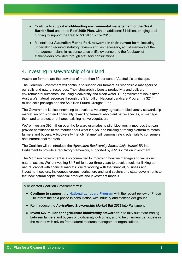- Continue to support **world-leading environmental management of the Great Barrier Reef** under the **Reef 2050 Plan,** with an additional \$1 billion, bringing total funding to support the Reef to \$3 billion since 2015.
- Maintain our **Australian Marine Park networks in their current form**, including undertaking required statutory reviews and, as necessary, adjust elements of the management plans in response to scientific evidence and the feedback of stakeholders provided through statutory consultations.

#### 4. Investing in stewardship of our land

Australian farmers are the stewards of more than 50 per cent of Australia's landscape.

The Coalition Government will continue to support our farmers as responsible managers of our soils and natural resources. Their stewardship boosts productivity and delivers environmental outcomes, including biodiversity and clean water. Our government looks after Australia's natural resources through the \$1.1 billion National Landcare Program, a \$214 million soils package and the \$5 billion Future Drought Fund.

The Government is also innovating to develop a voluntary agriculture biodiversity stewardship market, recognising and financially rewarding farmers who plant native species, or manage their land to protect or enhance existing native vegetation.

We're investing \$96 million over the forward estimates to pilot biodiversity methods that can provide confidence to the market about what it buys, and building a trading platform to match farmers and buyers. A biodiversity friendly "stamp" will demonstrate credentials to consumers and international markets.

The Coalition will re-introduce the *Agriculture Biodiversity Stewardship Market Bill* into Parliament to provide a regulatory framework, supported by a \$13.2 million investment.

The Morrison Government is also committed to improving how we manage and value our natural assets. We're investing \$4.7 million over three years to develop tools for linking our natural capital with financial markets. We're working with the financial, business and investment sectors, Indigenous groups, agriculture and land sectors and state governments to test new natural capital financial products and investment models.

A re-elected Coalition Government will:

- **Continue to support the [National Landcare Program](http://www.nrm.gov.au/)** with the recent review of Phase 2 to inform the next phase in consultation with industry and stakeholder groups.
- Re-introduce the *Agriculture Stewardship Market Bill 2022* into Parliament.
- **Invest \$27 million for agriculture biodiversity stewardship** to fully automate trading between farmers and buyers of biodiversity outcomes, and to help farmers participate in the market with advice from natural resource management organisations.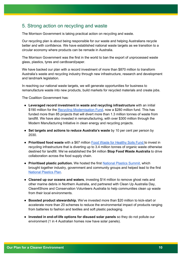#### 5. Strong action on recycling and waste

The Morrison Government is taking practical action on recycling and waste.

Our recycling plan is about being responsible for our waste and helping Australians recycle better and with confidence. We have established national waste targets as we transition to a circular economy where products can be remade in Australia.

The Morrison Government was the first in the world to ban the export of unprocessed waste glass, plastics, tyres and cardboard/paper.

We have backed our plan with a record investment of more than \$870 million to transform Australia's waste and recycling industry through new infrastructure, research and development and landmark legislation.

In reaching our national waste targets, we will generate opportunities for business to remanufacture waste into new products, build markets for recycled materials and create jobs.

The Coalition Government has:

- **Leveraged record investment in waste and recycling infrastructure** with an initial \$190 million for the [Recycling Modernisation Fund,](https://www.awe.gov.au/environment/protection/waste/how-we-manage-waste/recycling-modernisation-fund) now a \$280 million fund. This has funded more than 85 projects that will divert more than 1.3 million tonnes of waste from landfill. We have also invested in remanufacturing, with over \$300 million through the Modern Manufacturing Initiative in clean energy and recycling projects.
- **Set targets and actions to reduce Australia's waste** by 10 per cent per person by 2030.
- **Prioritised food waste** with a \$67 million [Food Waste for Healthy Soils Fund t](https://www.awe.gov.au/environment/protection/waste/food-waste/food-waste-for-healthy-soils-fund)o invest in recycling infrastructure that is diverting up to 3.4 million tonnes of organic waste otherwise destined for landfill. We've established the \$4 million **Stop Food Waste Australia** to drive collaboration across the food supply chain.
- **Prioritised plastic pollution.** We hosted the first [National Plastics Summit,](https://www.awe.gov.au/environment/protection/waste/plastics-packaging/national-summit) which brought together industry, government and community groups and helped lead to the first [National Plastics Plan.](https://www.awe.gov.au/environment/protection/waste/plastics-and-packaging/national-plastics-plan)
- **Cleaned up our oceans and waters**, investing \$14 million to remove ghost nets and other marine debris in Northern Australia, and partnered with Clean Up Australia Day, Clean4Shore and Conservation Volunteers Australia to help communities clean up waste from their local environments.
- **Boosted product stewardship.** We've invested more than \$20 million to kick-start or accelerate more than 20 schemes to reduce the environmental impact of products ranging from batteries to fashion and textiles and soft plastic packaging.
- **Invested in end-of-life options for disused solar panels** so they do not pollute our environment (1 in 4 Australian homes now have solar panels).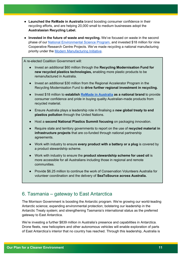- **Launched the ReMade in Australia** brand boosting consumer confidence in their recycling efforts, and are helping 20,000 small to medium businesses adopt the **Australasian Recycling Label.**
- **Invested in the future of waste and recycling.** We've focused on waste in the second phase of our [National Environmental Science Program,](https://www.awe.gov.au/science-research/nesp) and invested \$18 million for nine Cooperative Research Centre Projects. We've made recycling a national manufacturing priority under the [Modern Manufacturing Initiative.](https://www.industry.gov.au/news/modern-manufacturing-initiative-and-national-manufacturing-priorities-announced)

A re-elected Coalition Government will:

- Invest an additional \$60 million through the **Recycling Modernisation Fund for new recycled plastics technologies,** enabling more plastic products to be remanufactured in Australia.
- Invest an additional \$30 million from the Regional Accelerator Program in the Recycling Modernisation Fund to **drive further regional investment in recycling.**
- Invest \$18 million to **establish [ReMade in Australia](https://www.pm.gov.au/media/remade-australia) as a national brand** to provide consumer confidence and pride in buying quality Australian-made products from recycled material.
- Ensure Australia plays a leadership role in finalising a **new global treaty to end plastics pollution** through the United Nations.
- Host a **second National Plastics Summit focusing** on packaging innovation.
- Require state and territory governments to report on the use of **recycled material in infrastructure projects** that are co-funded through national partnership agreements.
- Work with industry to ensure **every product with a battery or a plug** is covered by a product stewardship scheme.
- Work with industry to ensure the **product stewardship scheme for used oil** is more accessible for all Australians including those in regional and remote communities.
- Provide \$6.25 million to continue the work of Conservation Volunteers Australia for volunteer coordination and the delivery of **SeaToSource across Australia.**

#### 6. Tasmania – gateway to East Antarctica

The Morrison Government is boosting the Antarctic program. We're growing our world-leading Antarctic science; expanding environmental protection; bolstering our leadership in the Antarctic Treaty system; and strengthening Tasmania's international status as the preferred gateway to East Antarctica.

We're investing a further \$839 million in Australia's presence and capabilities in Antarctica. Drone fleets, new helicopters and other autonomous vehicles will enable exploration of parts of East Antarctica's interior that no country has reached. Through this leadership, Australia is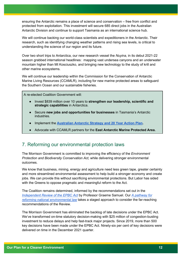ensuring the Antarctic remains a place of science and conservation – free from conflict and protected from exploitation. This investment will secure 685 direct jobs in the Australian Antarctic Division and continue to support Tasmania as an international science hub.

We will continue backing our world-class scientists and expeditioners in the Antarctic. Their research, such as identifying changing weather patterns and rising sea levels, is critical to understanding the science of our region and its future.

Over two short trips to Antarctica, our new research vessel the *Nuyina,* in its debut 2021-22 season grabbed international headlines: mapping vast undersea canyons and an underwater mountain higher than Mt Kosciuszko, and bringing new technology to the study of krill and other marine ecosystems.

We will continue our leadership within the Commission for the Conservation of Antarctic Marine Living Resources (CCAMLR), including for new marine protected areas to safeguard the Southern Ocean and our sustainable fisheries.

A re-elected Coalition Government will:

- Invest \$839 million over 10 years to **strengthen our leadership, scientific and strategic capabilities** in Antarctica.
- Secure **new jobs and opportunities for businesses** in Tasmania's Antarctic industries.
- Implement the **[Australian Antarctic Strategy and 20 Year Action Plan.](https://www.antarctica.gov.au/site/assets/files/53156/20yearstrategy_final.pdf)**
- Advocate with CCAMLR partners for the **East Antarctic Marine Protected Area.**

#### 7. Reforming our environmental protection laws

The Morrison Government is committed to improving the efficiency of the *Environment Protection and Biodiversity Conservation Act,* while delivering stronger environmental outcomes.

We know that business, mining, energy and agriculture need less green tape, greater certainty and more streamlined environmental assessment to help build a stronger economy and create jobs. We can provide this without sacrificing environmental protections. But Labor has sided with the Greens to oppose pragmatic and meaningful reform to the Act.

The Coalition remains determined, informed by the recommendations set out in the *[Independent Review of the EPBC Act](https://epbcactreview.environment.gov.au/)* by Professor Graeme Samuel. Our *[A pathway for](https://www.awe.gov.au/environment/epbc/publications/pathway-for-reforming-national-environmental-law)  [reforming national environmental law](https://www.awe.gov.au/environment/epbc/publications/pathway-for-reforming-national-environmental-law)* takes a staged approach to consider the far-reaching recommendations of the Review.

The Morrison Government has eliminated the backlog of late decisions under the EPBC Act. We've transformed on-time statutory decision-making with \$25 million of congestion-busting investment to reduce delays and help fast-track major projects. Since 2019, more than 500 key decisions have been made under the EPBC Act. Ninety-six per cent of key decisions were delivered on time in the December 2021 quarter.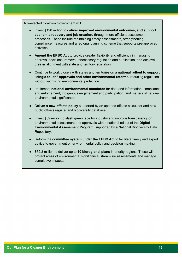A re-elected Coalition Government will:

- Invest \$128 million to **deliver improved environmental outcomes, and support economic recovery and job creation,** through more efficient assessment processes. These include maintaining timely assessments, strengthening compliance measures and a regional planning scheme that supports pre-approved activities.
- **Amend the EPBC Act** to provide greater flexibility and efficiency in managing approval decisions, remove unnecessary regulation and duplication, and achieve greater alignment with state and territory legislation.
- Continue to work closely with states and territories on a **national rollout to support "single-touch" approvals and other environmental reforms**, reducing regulation without sacrificing environmental protection.
- Implement **national environmental standards** for data and information, compliance and enforcement, Indigenous engagement and participation, and matters of national environmental significance.
- Deliver a **new offsets policy** supported by an updated offsets calculator and new public offsets register and biodiversity database.
- Invest \$52 million to slash green tape for industry and improve transparency on environmental assessment and approvals with a national rollout of the **Digital Environmental Assessment Program,** supported by a National Biodiversity Data Repository.
- Reform the **committee system under the EPBC Act** to facilitate timely and expert advice to government on environmental policy and decision making.
- \$62.3 million to deliver up to 10 bioregional plans in priority regions. These will protect areas of environmental significance, streamline assessments and manage cumulative impacts.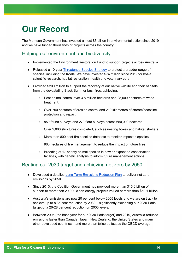## **Our Record**

The Morrison Government has invested almost \$6 billion in environmental action since 2019 and we have funded thousands of projects across the country.

#### Helping our environment and biodiversity

- Implemented the Environment Restoration Fund to support projects across Australia.
- Released a 10-year [Threatened Species Strategy](https://www.awe.gov.au/environment/biodiversity/threatened/publications/threatened-species-strategy-2021-2031) to protect a broader range of species, including the Koala. We have invested \$74 million since 2019 for koala scientific research, habitat restoration, health and veterinary care.
- Provided \$200 million to support the recovery of our native wildlife and their habitats from the devastating Black Summer bushfires, achieving:
	- Pest animal control over 3.8 million hectares and 28,000 hectares of weed treatment.
	- Over 750 hectares of erosion control and 210 kilometres of stream/coastline protection and repair.
	- 850 fauna surveys and 270 flora surveys across 650,000 hectares.
	- Over 2,000 structures completed, such as nesting boxes and habitat shelters.
	- More than 800 post-fire baseline datasets to monitor impacted species.
	- 960 hectares of fire management to reduce the impact of future fires.
	- Breeding of 17 priority animal species in new or expanded conservation facilities, with genetic analysis to inform future management actions.

#### Beating our 2030 target and achieving net zero by 2050

- Developed a detailed [Long Term Emissions Reduction Plan](https://www.industry.gov.au/data-and-publications/australias-long-term-emissions-reduction-plan) to deliver net zero emissions by 2050.
- Since 2013, the Coalition Government has provided more than \$15.6 billion of support to more than 29,000 clean energy projects valued at more than \$50.1 billion.
- Australia's emissions are now 20 per cent below 2005 levels and we are on track to achieve up to a 35 cent reduction by 2030 – significantly exceeding our 2030 Paris target of a 26-28 per cent reduction on 2005 levels.
- Between 2005 (the base year for our 2030 Paris target) and 2019, Australia reduced emissions faster than Canada, Japan, New Zealand, the United States and many other developed countries – and more than twice as fast as the OECD average.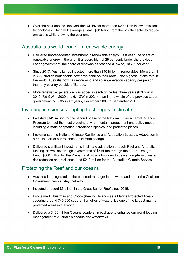● Over the next decade, the Coalition will invest more than \$22 billion in low emissions technologies, which will leverage at least \$88 billion from the private sector to reduce emissions while growing the economy.

#### Australia is a world leader in renewable energy

- Delivered unprecedented investment in renewable energy. Last year, the share of renewable energy in the grid hit a record high of 29 per cent. Under the previous Labor government, the share of renewables reached a low of just 7.5 per cent.
- Since 2017, Australia has invested more than \$40 billion in renewables. More than 1 in 4 Australian households now have solar on their roofs – the highest uptake rate in the world. Australia now has more wind and solar generation capacity per person than any country outside of Europe.
- More renewable generation was added in each of the last three years (6.3 GW in 2019, 7.0 GW in 2020 and 6.1 GW in 2021), than in the whole of the previous Labor government (5.6 GW in six years, December 2007 to September 2013).

#### Investing in science adapting to changes in climate

- Invested \$149 million for the second phase of the [National Environmental Science](https://www.awe.gov.au/science-research/nesp)  [Program](https://www.awe.gov.au/science-research/nesp) to meet the most pressing environmental management and policy needs, including climate adaptation, threatened species, and protected places.
- Implemented the [National Climate Resilience and Adaptation Strategy.](https://www.awe.gov.au/science-research/climate-change/adaptation/strategy) Adaptation is a crucial part of our response to climate change.
- Delivered significant investments in climate adaptation through Reef and Antarctic funding, as well as through investments of \$5 billion through the [Future Drought](https://www.awe.gov.au/agriculture-land/farm-food-drought/drought/future-drought-fund)  [Fund](https://www.awe.gov.au/agriculture-land/farm-food-drought/drought/future-drought-fund), \$600 million for the [Preparing Australia Program](https://recovery.gov.au/disaster-risk-reduction/preparing-australia-program#Overview) to deliver long-term disaster risk reduction and resilience; and \$210 million for the [Australian Climate Service.](https://www.acs.gov.au/)

#### Protecting the Reef and our oceans

- Australia is recognised as the best reef manager in the world and under the Coalition Government we will stay that way.
- Invested a record \$3 billion in the Great Barrier Reef since 2015.
- Proclaimed Christmas and Cocos (Keeling) Islands as a Marine Protected Area covering around 740,000 square kilometres of waters, it's one of the largest marine protected areas in the world.
- Delivered a \$100 million [Oceans Leadership package](https://www.awe.gov.au/science-research/climate-change/ocean-sustainability) to enhance our world-leading management of Australia's oceans and waterways.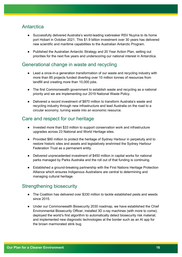#### **Antarctica**

- Successfully delivered Australia's world-leading icebreaker RSV Nuyina to its home port Hobart in October 2021. This \$1.9 billion investment over 30 years has delivered new scientific and maritime capabilities to the Australian Antarctic Program.
- Published the [Australian Antarctic Strategy and 20 Year Action Plan,](https://www.antarctica.gov.au/about-us/antarctic-strategy-and-action-plan/) setting out priorities for the next five years and underscoring our national interest in Antarctica.

#### Generational change in waste and recycling

- Lead a once-in-a generation transformation of our waste and recycling industry with more than 85 projects funded diverting over 10 million tonnes of resources from landfill and creating more than 10,000 jobs.
- The first Commonwealth government to establish waste and recycling as a national priority and we are implementing our 2019 National Waste Policy.
- Delivered a record investment of \$870 million to transform Australia's waste and recycling industry through new infrastructure and lead Australia on the road to a circular economy, turning waste into an economic resource.

#### Care and respect for our heritage

- Invested more than \$33 million to support conservation work and infrastructure upgrades across 23 National and World Heritage sites.
- Provided \$60 million to protect the heritage of Sydney Harbour in perpetuity and to restore historic sites and assets and legislatively enshrined the Sydney Harbour Federation Trust as a permanent entity.
- Delivered unprecedented investment of \$450 million in capital works for national parks managed by Parks Australia and the roll out of that funding is continuing.
- Established a ground-breaking partnership with the First Nations Heritage Protection Alliance which ensures Indigenous Australians are central to determining and managing cultural heritage.

#### Strengthening biosecurity

- The Coalition has delivered over \$330 million to tackle established pests and weeds since 2015.
- Under our [Commonwealth Biosecurity 2030](https://www.awe.gov.au/biosecurity-trade/policy/commonwealth-biosecurity-2030) [r](https://www.awe.gov.au/biosecurity-trade/policy/commonwealth-biosecurity-2030)oadmap, we have established the Chief Environmental Biosecurity Officer; installed 3D x-ray machines (with more to come); deployed the world's first algorithm to automatically detect biosecurity risk material; and implemented new diagnostic technologies at the border such as an AI app for the brown marmorated stink bug.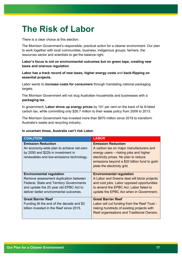# **The Risk of Labor**

There is a clear choice at this election.

The Morrison Government's responsible, practical action for a cleaner environment. Our plan to work together with local communities, business, Indigenous groups, farmers, the resources sector and scientists to get the balance right.

#### **Labor's focus is not on environmental outcomes but on green tape, creating new taxes and onerous regulation**.

#### **Labor has a track record of new taxes, higher energy costs** and **back-flipping on essential projects.**

Labor wants to **increase costs for consumers** through mandating national packaging targets.

The Morrison Government will not slug Australian households and businesses with a **packaging tax.**

In government, **Labor drove up energy prices** by 101 per cent on the back of its ill-fated carbon tax, while committing only \$26.7 million to their waste policy from 2009 to 2013.

The Morrison Government has invested more than \$870 million since 2019 to transform Australia's waste and recycling industry.

#### **In uncertain times, Australia can't risk Labor.**

| <b>COALITION</b>                                                                                                                                                                                                | <b>LABOR</b>                                                                                                                                                                                                                            |
|-----------------------------------------------------------------------------------------------------------------------------------------------------------------------------------------------------------------|-----------------------------------------------------------------------------------------------------------------------------------------------------------------------------------------------------------------------------------------|
| <b>Emission Reduction</b><br>An economy-wide plan to achieve net-zero<br>by 2050 and \$22b in investment in<br>renewables and low-emissions technology.                                                         | <b>Emission Reduction</b><br>A carbon tax on major manufacturers and<br>energy users – risking jobs and higher<br>electricity prices. No plan to reduce<br>emissions beyond a \$20 billion fund to gold-<br>plate the electricity grid. |
| <b>Environmental regulation</b><br>Remove assessment duplication between<br><b>Federal, State and Territory Governments</b><br>and update the 20 year old EPBC Act to<br>deliver better environmental outcomes. | <b>Environmental regulation</b><br>A Labor and Greens deal will block projects<br>and cost jobs. Labor opposed opportunities<br>to amend the EPBC Act. Labor failed to<br>update the EPBC Act when in Government.                       |
| <b>Great Barrier Reef</b><br>Funding till the end of the decade and \$3<br>billion invested in the Reef since 2015.                                                                                             | <b>Great Barrier Reef</b><br>Labor will cut funding from the Reef Trust -<br>risking hundreds of existing projects with<br>Reef organisations and Traditional Owners.                                                                   |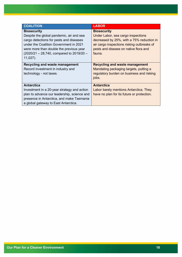| <b>COALITION</b>                                                                                                                                                                                                                                            | <b>LABOR</b>                                                                                                                                                                                           |
|-------------------------------------------------------------------------------------------------------------------------------------------------------------------------------------------------------------------------------------------------------------|--------------------------------------------------------------------------------------------------------------------------------------------------------------------------------------------------------|
| <b>Biosecurity</b><br>Despite the global pandemic, air and sea<br>cargo detections for pests and diseases<br>under the Coalition Government in 2021<br>were more than double the previous year<br>$(2020/21 - 28,740,$ compared to 2019/20 -<br>$11,027$ ). | <b>Biosecurity</b><br>Under Labor, sea cargo inspections<br>decreased by 25%, with a 75% reduction in<br>air cargo inspections risking outbreaks of<br>pests and disease on native flora and<br>fauna. |
| <b>Recycling and waste management</b><br>Record investment in industry and<br>technology - not taxes.                                                                                                                                                       | <b>Recycling and waste management</b><br>Mandating packaging targets, putting a<br>regulatory burden on business and risking<br>jobs.                                                                  |
| <b>Antarctica</b><br>Investment in a 20-year strategy and action<br>plan to advance our leadership, science and<br>presence in Antarctica, and make Tasmania<br>a global gateway to East Antarctica.                                                        | <b>Antarctica</b><br>Labor barely mentions Antarctica. They<br>have no plan for its future or protection.                                                                                              |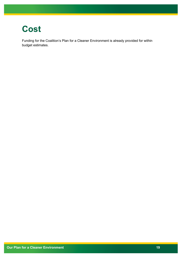### **Cost**

Funding for the Coalition's Plan for a Cleaner Environment is already provided for within budget estimates.